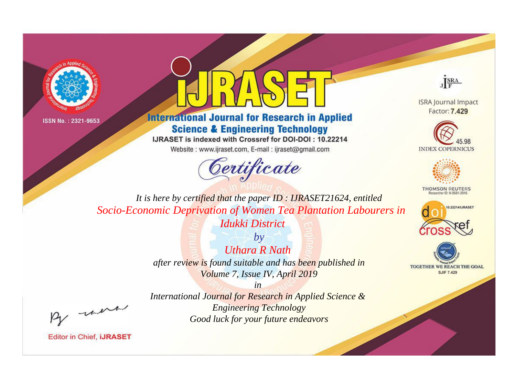



**International Journal for Research in Applied Science & Engineering Technology** 

IJRASET is indexed with Crossref for DOI-DOI: 10.22214

Website: www.ijraset.com, E-mail: ijraset@gmail.com



JERA

**ISRA Journal Impact** Factor: 7.429





**THOMSON REUTERS** 



TOGETHER WE REACH THE GOAL **SJIF 7.429** 

It is here by certified that the paper ID: IJRASET21624, entitled Socio-Economic Deprivation of Women Tea Plantation Labourers in Idukki District

> $b\nu$ **Uthara R Nath** after review is found suitable and has been published in Volume 7, Issue IV, April 2019

> > $in$

were

International Journal for Research in Applied Science & **Engineering Technology** Good luck for your future endeavors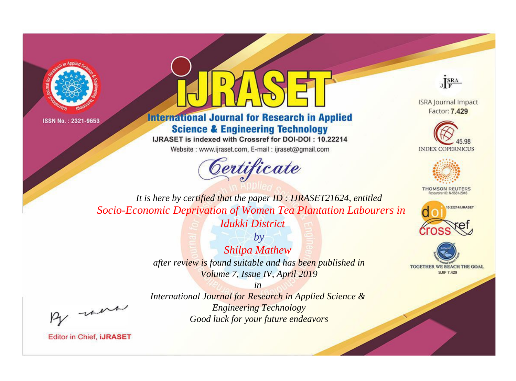



**International Journal for Research in Applied Science & Engineering Technology** 

IJRASET is indexed with Crossref for DOI-DOI: 10.22214

Website: www.ijraset.com, E-mail: ijraset@gmail.com





**ISRA Journal Impact** Factor: 7.429





**THOMSON REUTERS** 



TOGETHER WE REACH THE GOAL **SJIF 7.429** 

*It is here by certified that the paper ID : IJRASET21624, entitled Socio-Economic Deprivation of Women Tea Plantation Labourers in Idukki District*

> *by Shilpa Mathew after review is found suitable and has been published in Volume 7, Issue IV, April 2019*

, un

*International Journal for Research in Applied Science & Engineering Technology Good luck for your future endeavors*

*in*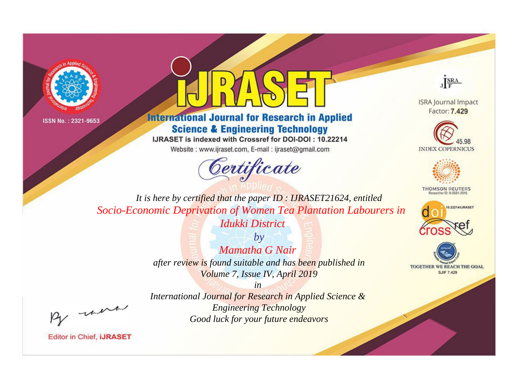



**International Journal for Research in Applied Science & Engineering Technology** 

IJRASET is indexed with Crossref for DOI-DOI: 10.22214

Website: www.ijraset.com, E-mail: ijraset@gmail.com



JERA

**ISRA Journal Impact** Factor: 7.429





**THOMSON REUTERS** 



TOGETHER WE REACH THE GOAL **SJIF 7.429** 

It is here by certified that the paper ID: IJRASET21624, entitled Socio-Economic Deprivation of Women Tea Plantation Labourers in Idukki District

> $b\nu$ Mamatha G Nair after review is found suitable and has been published in Volume 7, Issue IV, April 2019

were

International Journal for Research in Applied Science & **Engineering Technology** Good luck for your future endeavors

 $in$